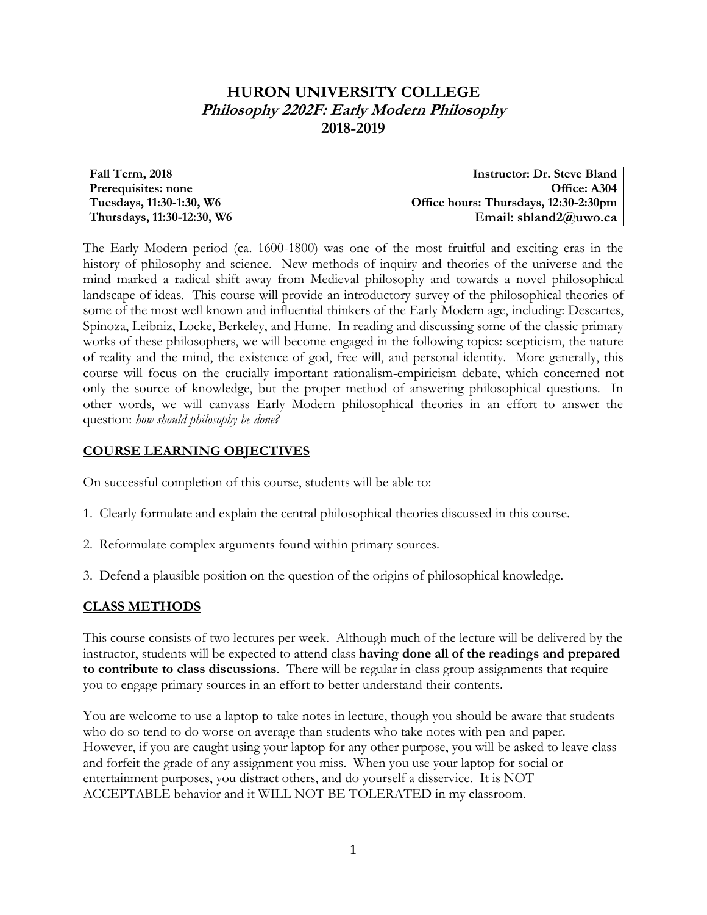# **HURON UNIVERSITY COLLEGE Philosophy 2202F: Early Modern Philosophy 2018-2019**

| Fall Term, 2018            | <b>Instructor: Dr. Steve Bland</b>    |
|----------------------------|---------------------------------------|
| Prerequisites: none        | Office: A304                          |
| Tuesdays, 11:30-1:30, W6   | Office hours: Thursdays, 12:30-2:30pm |
| Thursdays, 11:30-12:30, W6 | Email: sbland2@uwo.ca                 |

The Early Modern period (ca. 1600-1800) was one of the most fruitful and exciting eras in the history of philosophy and science. New methods of inquiry and theories of the universe and the mind marked a radical shift away from Medieval philosophy and towards a novel philosophical landscape of ideas. This course will provide an introductory survey of the philosophical theories of some of the most well known and influential thinkers of the Early Modern age, including: Descartes, Spinoza, Leibniz, Locke, Berkeley, and Hume. In reading and discussing some of the classic primary works of these philosophers, we will become engaged in the following topics: scepticism, the nature of reality and the mind, the existence of god, free will, and personal identity. More generally, this course will focus on the crucially important rationalism-empiricism debate, which concerned not only the source of knowledge, but the proper method of answering philosophical questions. In other words, we will canvass Early Modern philosophical theories in an effort to answer the question: *how should philosophy be done?*

### **COURSE LEARNING OBJECTIVES**

On successful completion of this course, students will be able to:

- 1. Clearly formulate and explain the central philosophical theories discussed in this course.
- 2. Reformulate complex arguments found within primary sources.
- 3. Defend a plausible position on the question of the origins of philosophical knowledge.

## **CLASS METHODS**

This course consists of two lectures per week. Although much of the lecture will be delivered by the instructor, students will be expected to attend class **having done all of the readings and prepared to contribute to class discussions**. There will be regular in-class group assignments that require you to engage primary sources in an effort to better understand their contents.

You are welcome to use a laptop to take notes in lecture, though you should be aware that students who do so tend to do worse on average than students who take notes with pen and paper. However, if you are caught using your laptop for any other purpose, you will be asked to leave class and forfeit the grade of any assignment you miss. When you use your laptop for social or entertainment purposes, you distract others, and do yourself a disservice. It is NOT ACCEPTABLE behavior and it WILL NOT BE TOLERATED in my classroom.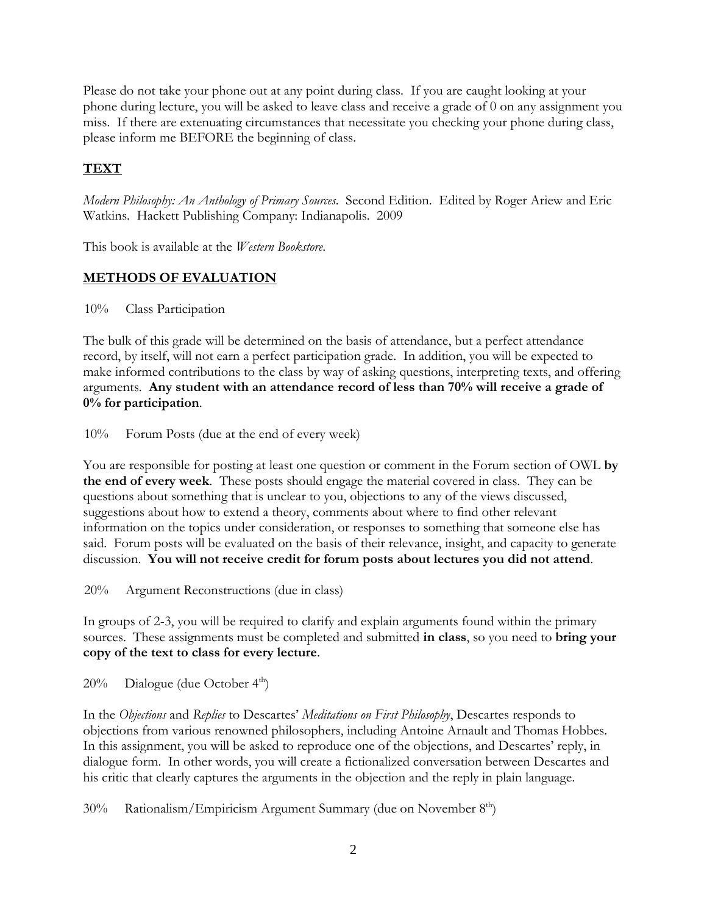Please do not take your phone out at any point during class. If you are caught looking at your phone during lecture, you will be asked to leave class and receive a grade of 0 on any assignment you miss. If there are extenuating circumstances that necessitate you checking your phone during class, please inform me BEFORE the beginning of class.

## **TEXT**

*Modern Philosophy: An Anthology of Primary Sources*. Second Edition. Edited by Roger Ariew and Eric Watkins. Hackett Publishing Company: Indianapolis. 2009

This book is available at the *Western Bookstore*.

## **METHODS OF EVALUATION**

10% Class Participation

The bulk of this grade will be determined on the basis of attendance, but a perfect attendance record, by itself, will not earn a perfect participation grade. In addition, you will be expected to make informed contributions to the class by way of asking questions, interpreting texts, and offering arguments. **Any student with an attendance record of less than 70% will receive a grade of 0% for participation**.

10% Forum Posts (due at the end of every week)

You are responsible for posting at least one question or comment in the Forum section of OWL **by the end of every week**. These posts should engage the material covered in class. They can be questions about something that is unclear to you, objections to any of the views discussed, suggestions about how to extend a theory, comments about where to find other relevant information on the topics under consideration, or responses to something that someone else has said. Forum posts will be evaluated on the basis of their relevance, insight, and capacity to generate discussion. **You will not receive credit for forum posts about lectures you did not attend**.

20% Argument Reconstructions (due in class)

In groups of 2-3, you will be required to clarify and explain arguments found within the primary sources. These assignments must be completed and submitted **in class**, so you need to **bring your copy of the text to class for every lecture**.

 $20\%$  Dialogue (due October 4<sup>th</sup>)

In the *Objections* and *Replies* to Descartes' *Meditations on First Philosophy*, Descartes responds to objections from various renowned philosophers, including Antoine Arnault and Thomas Hobbes. In this assignment, you will be asked to reproduce one of the objections, and Descartes' reply, in dialogue form. In other words, you will create a fictionalized conversation between Descartes and his critic that clearly captures the arguments in the objection and the reply in plain language.

30% Rationalism/Empiricism Argument Summary (due on November 8<sup>th</sup>)